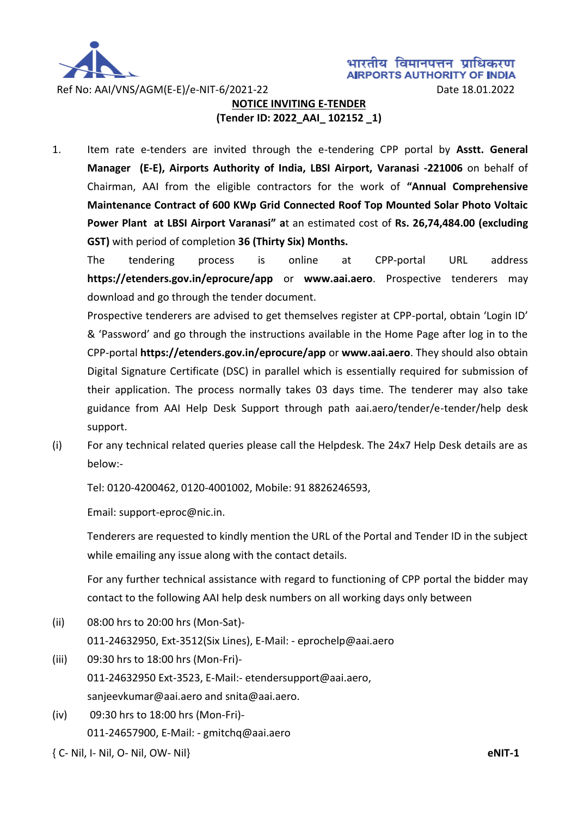

# **NOTICE INVITING E-TENDER (Tender ID: 2022\_AAI\_ 102152 \_1)**

1. Item rate e-tenders are invited through the e-tendering CPP portal by **Asstt. General Manager (E-E), Airports Authority of India, LBSI Airport, Varanasi -221006** on behalf of Chairman, AAI from the eligible contractors for the work of **"Annual Comprehensive Maintenance Contract of 600 KWp Grid Connected Roof Top Mounted Solar Photo Voltaic Power Plant at LBSI Airport Varanasi" a**t an estimated cost of **Rs. 26,74,484.00 (excluding GST)** with period of completion **36 (Thirty Six) Months.**

The tendering process is online at CPP-portal URL address **https://etenders.gov.in/eprocure/app** or **www.aai.aero**. Prospective tenderers may download and go through the tender document.

Prospective tenderers are advised to get themselves register at CPP-portal, obtain 'Login ID' & 'Password' and go through the instructions available in the Home Page after log in to the CPP-portal **https://etenders.gov.in/eprocure/app** or **www.aai.aero**. They should also obtain Digital Signature Certificate (DSC) in parallel which is essentially required for submission of their application. The process normally takes 03 days time. The tenderer may also take guidance from AAI Help Desk Support through path aai.aero/tender/e-tender/help desk support.

(i) For any technical related queries please call the Helpdesk. The 24x7 Help Desk details are as below:-

Tel: 0120-4200462, 0120-4001002, Mobile: 91 8826246593,

Email: support-eproc@nic.in.

Tenderers are requested to kindly mention the URL of the Portal and Tender ID in the subject while emailing any issue along with the contact details.

For any further technical assistance with regard to functioning of CPP portal the bidder may contact to the following AAI help desk numbers on all working days only between

(ii) 08:00 hrs to 20:00 hrs (Mon-Sat)-

011-24632950, Ext-3512(Six Lines), E-Mail: - eprochelp@aai.aero

- (iii) 09:30 hrs to 18:00 hrs (Mon-Fri)- 011-24632950 Ext-3523, E-Mail:- etendersupport@aai.aero, sanjeevkumar@aai.aero and snita@aai.aero.
- (iv) 09:30 hrs to 18:00 hrs (Mon-Fri)- 011-24657900, E-Mail: - gmitchq@aai.aero

{ C- Nil, I- Nil, O- Nil, OW- Nil} **eNIT-1**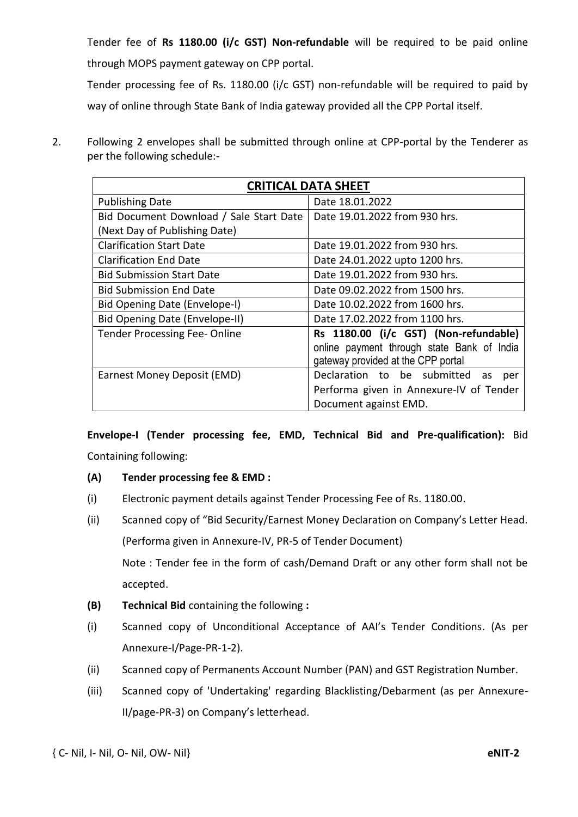Tender fee of **Rs 1180.00 (i/c GST) Non-refundable** will be required to be paid online through MOPS payment gateway on CPP portal.

Tender processing fee of Rs. 1180.00 (i/c GST) non-refundable will be required to paid by way of online through State Bank of India gateway provided all the CPP Portal itself.

2. Following 2 envelopes shall be submitted through online at CPP-portal by the Tenderer as per the following schedule:-

| <b>CRITICAL DATA SHEET</b>              |                                                                                                                           |
|-----------------------------------------|---------------------------------------------------------------------------------------------------------------------------|
| <b>Publishing Date</b>                  | Date 18.01.2022                                                                                                           |
| Bid Document Download / Sale Start Date | Date 19.01.2022 from 930 hrs.                                                                                             |
| (Next Day of Publishing Date)           |                                                                                                                           |
| <b>Clarification Start Date</b>         | Date 19.01.2022 from 930 hrs.                                                                                             |
| <b>Clarification End Date</b>           | Date 24.01.2022 upto 1200 hrs.                                                                                            |
| <b>Bid Submission Start Date</b>        | Date 19.01.2022 from 930 hrs.                                                                                             |
| <b>Bid Submission End Date</b>          | Date 09.02.2022 from 1500 hrs.                                                                                            |
| Bid Opening Date (Envelope-I)           | Date 10.02.2022 from 1600 hrs.                                                                                            |
| Bid Opening Date (Envelope-II)          | Date 17.02.2022 from 1100 hrs.                                                                                            |
| <b>Tender Processing Fee-Online</b>     | Rs 1180.00 (i/c GST) (Non-refundable)<br>online payment through state Bank of India<br>gateway provided at the CPP portal |
| Earnest Money Deposit (EMD)             | Declaration to be submitted<br>as<br>per                                                                                  |
|                                         | Performa given in Annexure-IV of Tender                                                                                   |
|                                         | Document against EMD.                                                                                                     |

**Envelope-I (Tender processing fee, EMD, Technical Bid and Pre-qualification):** Bid Containing following:

- **(A) Tender processing fee & EMD :**
- (i) Electronic payment details against Tender Processing Fee of Rs. 1180.00.
- (ii) Scanned copy of "Bid Security/Earnest Money Declaration on Company's Letter Head. (Performa given in Annexure-IV, PR-5 of Tender Document)

Note : Tender fee in the form of cash/Demand Draft or any other form shall not be accepted.

- **(B) Technical Bid** containing the following **:**
- (i) Scanned copy of Unconditional Acceptance of AAI's Tender Conditions. (As per Annexure-I/Page-PR-1-2).
- (ii) Scanned copy of Permanents Account Number (PAN) and GST Registration Number.
- (iii) Scanned copy of 'Undertaking' regarding Blacklisting/Debarment (as per Annexure-II/page-PR-3) on Company's letterhead.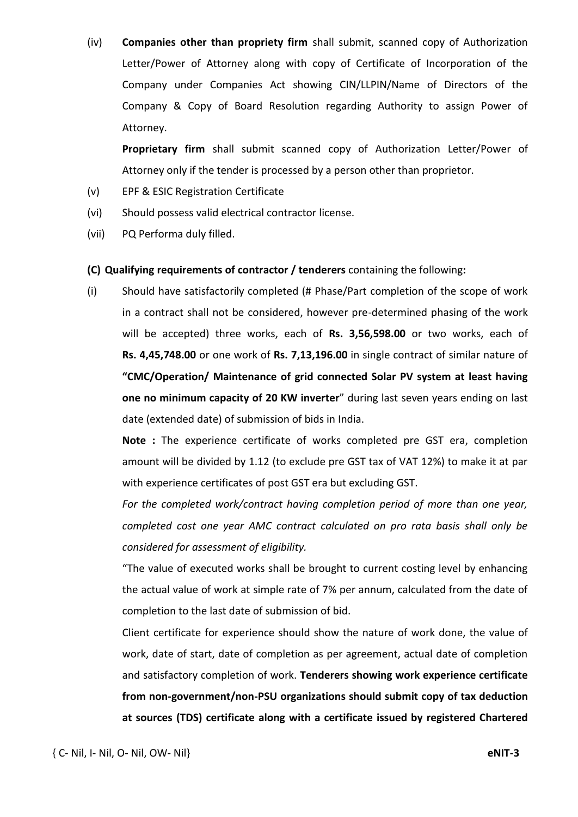(iv) **Companies other than propriety firm** shall submit, scanned copy of Authorization Letter/Power of Attorney along with copy of Certificate of Incorporation of the Company under Companies Act showing CIN/LLPIN/Name of Directors of the Company & Copy of Board Resolution regarding Authority to assign Power of Attorney.

**Proprietary firm** shall submit scanned copy of Authorization Letter/Power of Attorney only if the tender is processed by a person other than proprietor.

- (v) EPF & ESIC Registration Certificate
- (vi) Should possess valid electrical contractor license.
- (vii) PQ Performa duly filled.

#### **(C) Qualifying requirements of contractor / tenderers** containing the following**:**

(i) Should have satisfactorily completed (# Phase/Part completion of the scope of work in a contract shall not be considered, however pre-determined phasing of the work will be accepted) three works, each of **Rs. 3,56,598.00** or two works, each of **Rs. 4,45,748.00** or one work of **Rs. 7,13,196.00** in single contract of similar nature of **"CMC/Operation/ Maintenance of grid connected Solar PV system at least having one no minimum capacity of 20 KW inverter**" during last seven years ending on last date (extended date) of submission of bids in India.

**Note :** The experience certificate of works completed pre GST era, completion amount will be divided by 1.12 (to exclude pre GST tax of VAT 12%) to make it at par with experience certificates of post GST era but excluding GST.

*For the completed work/contract having completion period of more than one year, completed cost one year AMC contract calculated on pro rata basis shall only be considered for assessment of eligibility.* 

"The value of executed works shall be brought to current costing level by enhancing the actual value of work at simple rate of 7% per annum, calculated from the date of completion to the last date of submission of bid.

Client certificate for experience should show the nature of work done, the value of work, date of start, date of completion as per agreement, actual date of completion and satisfactory completion of work. **Tenderers showing work experience certificate from non-government/non-PSU organizations should submit copy of tax deduction at sources (TDS) certificate along with a certificate issued by registered Chartered**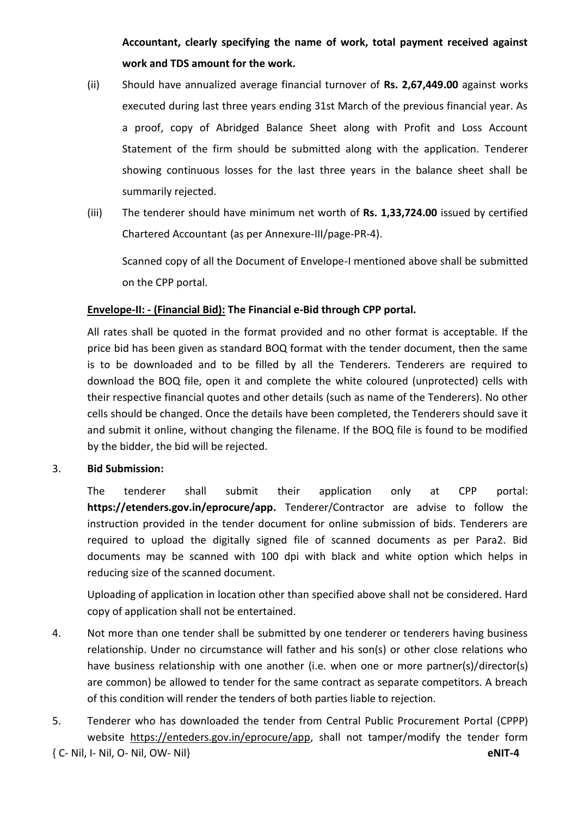**Accountant, clearly specifying the name of work, total payment received against work and TDS amount for the work.**

- (ii) Should have annualized average financial turnover of **Rs. 2,67,449.00** against works executed during last three years ending 31st March of the previous financial year. As a proof, copy of Abridged Balance Sheet along with Profit and Loss Account Statement of the firm should be submitted along with the application. Tenderer showing continuous losses for the last three years in the balance sheet shall be summarily rejected.
- (iii) The tenderer should have minimum net worth of **Rs. 1,33,724.00** issued by certified Chartered Accountant (as per Annexure-III/page-PR-4).

Scanned copy of all the Document of Envelope-I mentioned above shall be submitted on the CPP portal.

# **Envelope-II: - (Financial Bid): The Financial e-Bid through CPP portal.**

All rates shall be quoted in the format provided and no other format is acceptable. If the price bid has been given as standard BOQ format with the tender document, then the same is to be downloaded and to be filled by all the Tenderers. Tenderers are required to download the BOQ file, open it and complete the white coloured (unprotected) cells with their respective financial quotes and other details (such as name of the Tenderers). No other cells should be changed. Once the details have been completed, the Tenderers should save it and submit it online, without changing the filename. If the BOQ file is found to be modified by the bidder, the bid will be rejected.

## 3. **Bid Submission:**

The tenderer shall submit their application only at CPP portal: **[https://etenders.gov.in/eprocure/app.](https://etenders.gov.in/eprocure/app)** Tenderer/Contractor are advise to follow the instruction provided in the tender document for online submission of bids. Tenderers are required to upload the digitally signed file of scanned documents as per Para2. Bid documents may be scanned with 100 dpi with black and white option which helps in reducing size of the scanned document.

Uploading of application in location other than specified above shall not be considered. Hard copy of application shall not be entertained.

- 4. Not more than one tender shall be submitted by one tenderer or tenderers having business relationship. Under no circumstance will father and his son(s) or other close relations who have business relationship with one another (i.e. when one or more partner(s)/director(s) are common) be allowed to tender for the same contract as separate competitors. A breach of this condition will render the tenders of both parties liable to rejection.
- 5. Tenderer who has downloaded the tender from Central Public Procurement Portal (CPPP) website [https://enteders.gov.in/eprocure/app,](https://enteders.gov.in/eprocure/app) shall not tamper/modify the tender form

```
{ C- Nil, I- Nil, O- Nil, OW- Nil} eNIT-4
```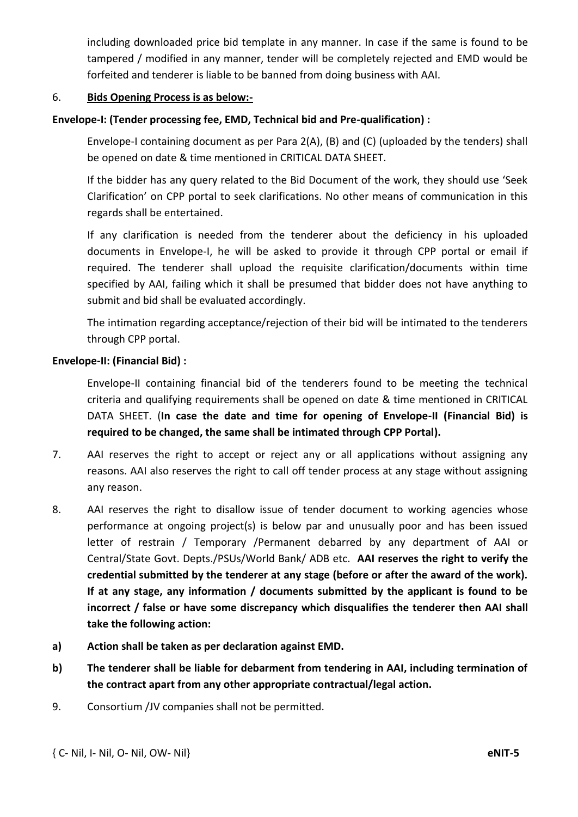including downloaded price bid template in any manner. In case if the same is found to be tampered / modified in any manner, tender will be completely rejected and EMD would be forfeited and tenderer is liable to be banned from doing business with AAI.

#### 6. **Bids Opening Process is as below:-**

### **Envelope-I: (Tender processing fee, EMD, Technical bid and Pre-qualification) :**

Envelope-I containing document as per Para 2(A), (B) and (C) (uploaded by the tenders) shall be opened on date & time mentioned in CRITICAL DATA SHEET.

If the bidder has any query related to the Bid Document of the work, they should use 'Seek Clarification' on CPP portal to seek clarifications. No other means of communication in this regards shall be entertained.

If any clarification is needed from the tenderer about the deficiency in his uploaded documents in Envelope-I, he will be asked to provide it through CPP portal or email if required. The tenderer shall upload the requisite clarification/documents within time specified by AAI, failing which it shall be presumed that bidder does not have anything to submit and bid shall be evaluated accordingly.

The intimation regarding acceptance/rejection of their bid will be intimated to the tenderers through CPP portal.

#### **Envelope-II: (Financial Bid) :**

Envelope-II containing financial bid of the tenderers found to be meeting the technical criteria and qualifying requirements shall be opened on date & time mentioned in CRITICAL DATA SHEET. (**In case the date and time for opening of Envelope-II (Financial Bid) is required to be changed, the same shall be intimated through CPP Portal).** 

- 7. AAI reserves the right to accept or reject any or all applications without assigning any reasons. AAI also reserves the right to call off tender process at any stage without assigning any reason.
- 8. AAI reserves the right to disallow issue of tender document to working agencies whose performance at ongoing project(s) is below par and unusually poor and has been issued letter of restrain / Temporary /Permanent debarred by any department of AAI or Central/State Govt. Depts./PSUs/World Bank/ ADB etc. **AAI reserves the right to verify the credential submitted by the tenderer at any stage (before or after the award of the work). If at any stage, any information / documents submitted by the applicant is found to be incorrect / false or have some discrepancy which disqualifies the tenderer then AAI shall take the following action:**
- **a) Action shall be taken as per declaration against EMD.**
- **b) The tenderer shall be liable for debarment from tendering in AAI, including termination of the contract apart from any other appropriate contractual/legal action.**
- 9. Consortium /JV companies shall not be permitted.